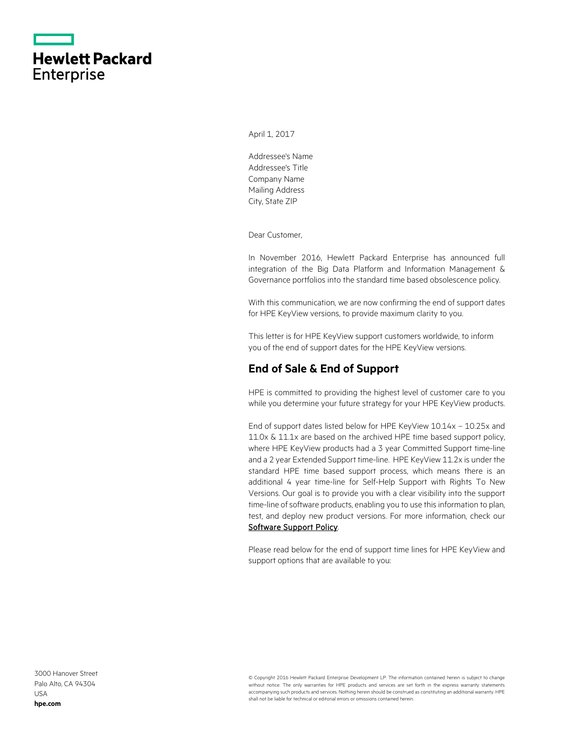|                   | <b>Hewlett Packard</b> |
|-------------------|------------------------|
| <b>Enterprise</b> |                        |

April 1, 2017

Addressee's Name Addressee's Title Company Name Mailing Address City, State ZIP

Dear Customer,

In November 2016, Hewlett Packard Enterprise has announced full integration of the Big Data Platform and Information Management & Governance portfolios into the standard time based obsolescence policy.

With this communication, we are now confirming the end of support dates for HPE KeyView versions, to provide maximum clarity to you.

This letter is for HPE KeyView support customers worldwide, to inform you of the end of support dates for the HPE KeyView versions.

## **End of Sale & End of Support**

HPE is committed to providing the highest level of customer care to you while you determine your future strategy for your HPE KeyView products.

End of support dates listed below for HPE KeyView 10.14x – 10.25x and 11.0x & 11.1x are based on the archived HPE time based support policy, where HPE KeyView products had a 3 year Committed Support time-line and a 2 year Extended Support time-line. HPE KeyView 11.2x is under the standard HPE time based support process, which means there is an additional 4 year time-line for Self-Help Support with Rights To New Versions. Our goal is to provide you with a clear visibility into the support time-line of software products, enabling you to use this information to plan, test, and deploy new product versions. For more information, check our [Software Support Policy.](https://softwaresupport.hpe.com/web/softwaresupport/document/-/facetsearch/document/KM01510370)

Please read below for the end of support time lines for HPE KeyView and support options that are available to you:

3000 Hanover Street Palo Alto, CA 94304 USA **[hpe.com](http://www.hpe.com/)**

© Copyright 2016 Hewlett Packard Enterprise Development LP. The information contained herein is subject to change without notice. The only warranties for HPE products and services are set forth in the express warranty statements accompanying such products and services. Nothing herein should be construed as constituting an additional warranty. HPE shall not be liable for technical or editorial errors or omissions contained herein.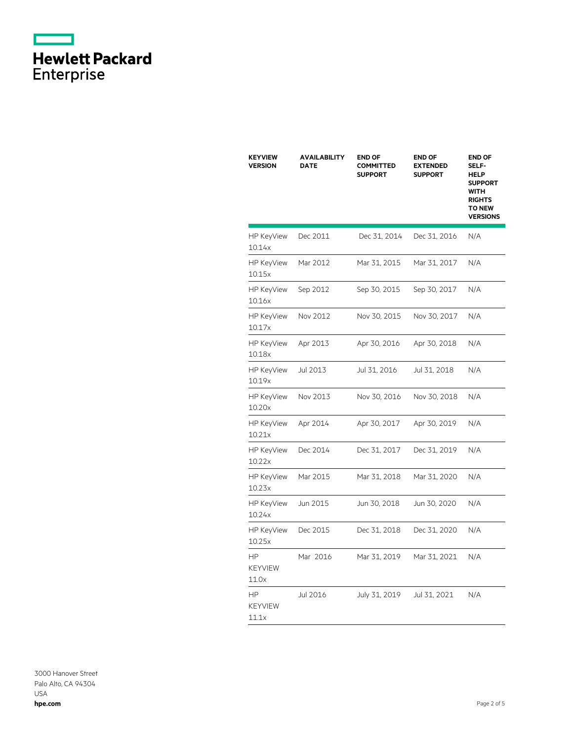|                   | <b>Hewlett Packard</b> |
|-------------------|------------------------|
| <b>Enterprise</b> |                        |

| <b>KEYVIEW</b><br><b>VERSION</b>     | <b>AVAILABILITY</b><br>DATE | <b>END OF</b><br><b>COMMITTED</b><br><b>SUPPORT</b> | <b>END OF</b><br><b>EXTENDED</b><br><b>SUPPORT</b> | <b>END OF</b><br>SELF-<br><b>HELP</b><br><b>SUPPORT</b><br><b>WITH</b><br><b>RIGHTS</b><br><b>TO NEW</b><br><b>VERSIONS</b> |
|--------------------------------------|-----------------------------|-----------------------------------------------------|----------------------------------------------------|-----------------------------------------------------------------------------------------------------------------------------|
| <b>HP KeyView</b><br>10.14x          | Dec 2011                    | Dec 31, 2014                                        | Dec 31, 2016                                       | N/A                                                                                                                         |
| <b>HP KeyView</b><br>10.15x          | Mar 2012                    | Mar 31, 2015                                        | Mar 31, 2017                                       | N/A                                                                                                                         |
| <b>HP KeyView</b><br>10.16x          | Sep 2012                    | Sep 30, 2015                                        | Sep 30, 2017                                       | N/A                                                                                                                         |
| <b>HP KeyView</b><br>10.17x          | Nov 2012                    | Nov 30, 2015                                        | Nov 30, 2017                                       | N/A                                                                                                                         |
| <b>HP KeyView</b><br>10.18x          | Apr 2013                    | Apr 30, 2016                                        | Apr 30, 2018                                       | N/A                                                                                                                         |
| <b>HP KeyView</b><br>10.19x          | Jul 2013                    | Jul 31, 2016                                        | Jul 31, 2018                                       | N/A                                                                                                                         |
| <b>HP KeyView</b><br>10.20x          | Nov 2013                    | Nov 30, 2016                                        | Nov 30, 2018                                       | N/A                                                                                                                         |
| <b>HP KeyView</b><br>10.21x          | Apr 2014                    | Apr 30, 2017                                        | Apr 30, 2019                                       | N/A                                                                                                                         |
| <b>HP KeyView</b><br>10.22x          | Dec 2014                    | Dec 31, 2017                                        | Dec 31, 2019                                       | N/A                                                                                                                         |
| <b>HP KeyView</b><br>10.23x          | Mar 2015                    | Mar 31, 2018                                        | Mar 31, 2020                                       | N/A                                                                                                                         |
| <b>HP KeyView</b><br>10.24x          | Jun 2015                    | Jun 30, 2018                                        | Jun 30, 2020                                       | N/A                                                                                                                         |
| <b>HP KeyView</b><br>10.25x          | Dec 2015                    | Dec 31, 2018                                        | Dec 31, 2020                                       | N/A                                                                                                                         |
| ΗP<br><b>KEYVIEW</b><br>11.0x        | Mar 2016                    | Mar 31, 2019                                        | Mar 31, 2021                                       | N/A                                                                                                                         |
| <b>HP</b><br><b>KEYVIEW</b><br>11.1x | Jul 2016                    | July 31, 2019                                       | Jul 31, 2021                                       | N/A                                                                                                                         |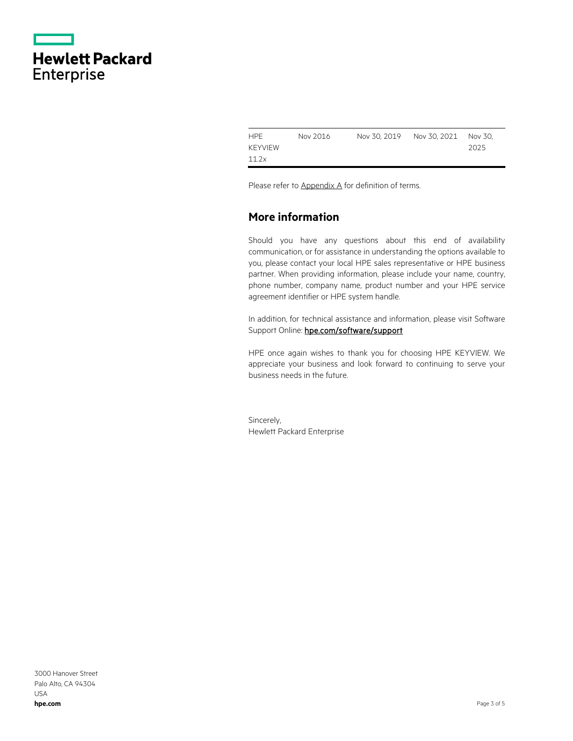|                   | <b>Hewlett Packard</b> |
|-------------------|------------------------|
| <b>Enterprise</b> |                        |

| <b>HPE</b>     | Nov 2016 | Nov 30, 2019   Nov 30, 2021   Nov 30, |      |
|----------------|----------|---------------------------------------|------|
| <b>KEYVIEW</b> |          |                                       | 2025 |
| 11.2x          |          |                                       |      |

Please refer to Appendix A for definition of terms.

## **More information**

Should you have any questions about this end of availability communication, or for assistance in understanding the options available to you, please contact your local HPE sales representative or HPE business partner. When providing information, please include your name, country, phone number, company name, product number and your HPE service agreement identifier or HPE system handle.

In addition, for technical assistance and information, please visit Software Support Online: hpe.com/software/support

HPE once again wishes to thank you for choosing HPE KEYVIEW. We appreciate your business and look forward to continuing to serve your business needs in the future.

Sincerely, Hewlett Packard Enterprise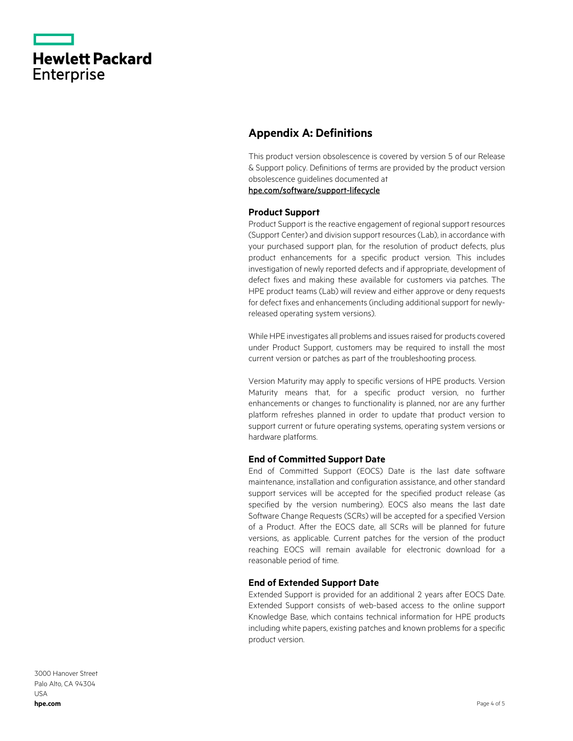|                   | <b>Hewlett Packard</b> |
|-------------------|------------------------|
| <b>Enterprise</b> |                        |

# **Appendix A: Definitions**

This product version obsolescence is covered by version 5 of our Release & Support policy. Definitions of terms are provided by the product version obsolescence guidelines documented at

[hpe.com/software/support-lifecycle](https://www.hpe.com/software/support-lifecycle)

### **Product Support**

Product Support is the reactive engagement of regional support resources (Support Center) and division support resources (Lab), in accordance with your purchased support plan, for the resolution of product defects, plus product enhancements for a specific product version. This includes investigation of newly reported defects and if appropriate, development of defect fixes and making these available for customers via patches. The HPE product teams (Lab) will review and either approve or deny requests for defect fixes and enhancements (including additional support for newlyreleased operating system versions).

While HPE investigates all problems and issues raised for products covered under Product Support, customers may be required to install the most current version or patches as part of the troubleshooting process.

Version Maturity may apply to specific versions of HPE products. Version Maturity means that, for a specific product version, no further enhancements or changes to functionality is planned, nor are any further platform refreshes planned in order to update that product version to support current or future operating systems, operating system versions or hardware platforms.

#### **End of Committed Support Date**

End of Committed Support (EOCS) Date is the last date software maintenance, installation and configuration assistance, and other standard support services will be accepted for the specified product release (as specified by the version numbering). EOCS also means the last date Software Change Requests (SCRs) will be accepted for a specified Version of a Product. After the EOCS date, all SCRs will be planned for future versions, as applicable. Current patches for the version of the product reaching EOCS will remain available for electronic download for a reasonable period of time.

#### **End of Extended Support Date**

Extended Support is provided for an additional 2 years after EOCS Date. Extended Support consists of web-based access to the online support Knowledge Base, which contains technical information for HPE products including white papers, existing patches and known problems for a specific product version.

3000 Hanover Street Palo Alto, CA 94304 USA **[hpe.com](http://www.hpe.com/)**